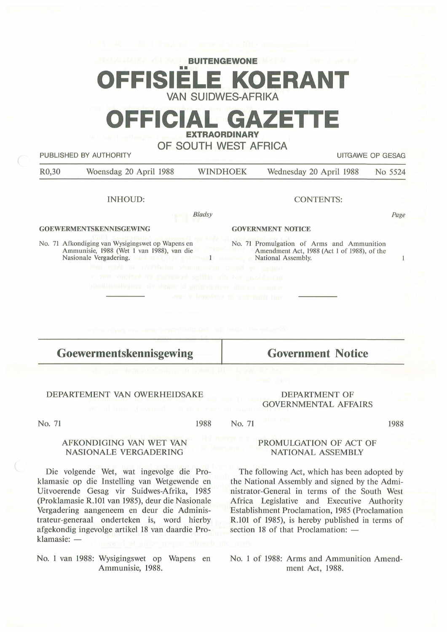|                    | Will the Way fings of property district processible                                                                                                                         | <b>BUITENGEWONE</b>                          | <b>CAST CLEAR ASS</b>                      |                                    |
|--------------------|-----------------------------------------------------------------------------------------------------------------------------------------------------------------------------|----------------------------------------------|--------------------------------------------|------------------------------------|
|                    |                                                                                                                                                                             | <b>VAN SUIDWES-AFRIKA</b>                    | <b>OFFISIELE KOERANT</b>                   |                                    |
|                    | OF DESCRIPTION OF A STR                                                                                                                                                     | <b>EXTRAORDINARY</b><br>OF SOUTH WEST AFRICA | <b>OFFICIAL GAZETTE</b>                    |                                    |
| R <sub>0</sub> ,30 | PUBLISHED BY AUTHORITY<br>Woensdag 20 April 1988                                                                                                                            | <b>WINDHOEK</b>                              | Wednesday 20 April 1988                    | <b>UITGAWE OP GESAG</b><br>No 5524 |
|                    | <b>INHOUD:</b>                                                                                                                                                              |                                              | <b>CONTENTS:</b>                           |                                    |
|                    |                                                                                                                                                                             | <b>Bladsy</b>                                |                                            | Page                               |
|                    | <b>GOEWERMENTSKENNISGEWING</b>                                                                                                                                              | <b>GOVERNMENT NOTICE</b>                     |                                            |                                    |
|                    | No. 71 Afkondiging van Wysigingswet op Wapens en<br>Nasionale Vergadering. The contract of the contract of the National Assembly.                                           | r met Ander                                  | No. 71 Promulgation of Arms and Ammunition | $\mathbf{1}$                       |
|                    | lam quest o uverbeiro sinomentari cressi e re-uso<br>a may confrom my garbanded suffice alls too mobilected<br>That a man horizon to the a mile vi property of the state of |                                              |                                            |                                    |
|                    |                                                                                                                                                                             | Maria inportany at concrete hav              |                                            |                                    |
|                    |                                                                                                                                                                             |                                              |                                            |                                    |
|                    | esén dian résult and la proposition de la tanta de la propositio                                                                                                            |                                              |                                            |                                    |
|                    | Goewermentskennisgewing                                                                                                                                                     |                                              | <b>Government Notice</b>                   |                                    |

**Goewermentskennisgewing** 

## DEPARTEMENT VAN OWERHEIDSAKE

#### DEPARTMENT OF GOVERNMENTAL AFFAIRS

No. 71

1988 No. 71 1988

### **AFKONDIGING VAN** WET VAN **NASIONALE VERGADERING**

Die volgende Wet, wat ingevolge die Proklamasie op die Instelling van Wetgewende en Uitvoerende Gesag vir Suidwes-Afrika, 1985 (Proklamasie R.101 van 1985), deur die Nasionale Vergadering aangeneem en deur die Administrateur-generaal onderteken is, word hierby afgekondig ingevolge artikel 18 van daardie Proklamasie: -

No. 1 van 1988: Wysigingswet op Wapens en Ammunisie, 1988.

## PROMULGATION OF ACT OF NATIONAL ASSEMBLY

The following Act, which has been adopted by the National Assembly and signed by the Administrator-General in terms of the South West Africa Legislative and Executive Authority Establishment Proclamation, 1985 (Proclamation R.101 of 1985), is hereby published in terms of section 18 of that Proclamation: -

No. 1 of 1988: Arms and Ammunition Amendment Act, 1988.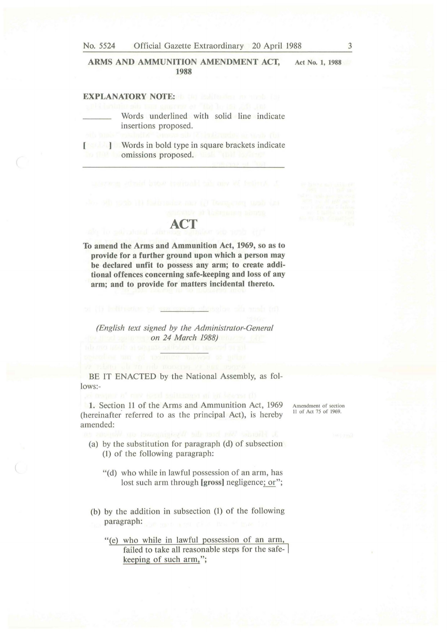No. 5524 Official Gazette Extraordinary 20 April 1988

**ARMS AND AMMUNITION AMENDMENT ACT, 1988** 

# **EXPLANATORY NOTE:**

Words underlined with solid line indicate insertions proposed.

**J Words** in bold type in square brackets indicate omissions proposed.

**To amend the Arms and Ammunition Act, 1969, so as to provide for a further ground upon which a person may be declared unfit to possess any arm; to create additional offences concerning safe-keeping and loss of any arm; and to provide for matters incidental thereto.** 

**ACT** 

*(English text signed by the Administrator-General on 24 March 1988)* 

BE IT ENACTED by the National Assembly, as follows:-

**1.** Section 11 of the Arms and Ammunition Act, 1969 (hereinafter referred to as the principal Act), is hereby amended:

- (a) by the substitution for paragraph (d) of subsection (1) of the following paragraph:
	- "(d) who while in lawful possession of an arm, has lost such arm through **[gross]** negligence; or";
- (b) by the addition in subsection (1) of the following paragraph:

"(e) who while in lawful possession of an arm, failed to take all reasonable steps for the safekeeping of such arm,";

Amendment of section 11 of Act 75 of 1969.

**Act No. 1, 1988**